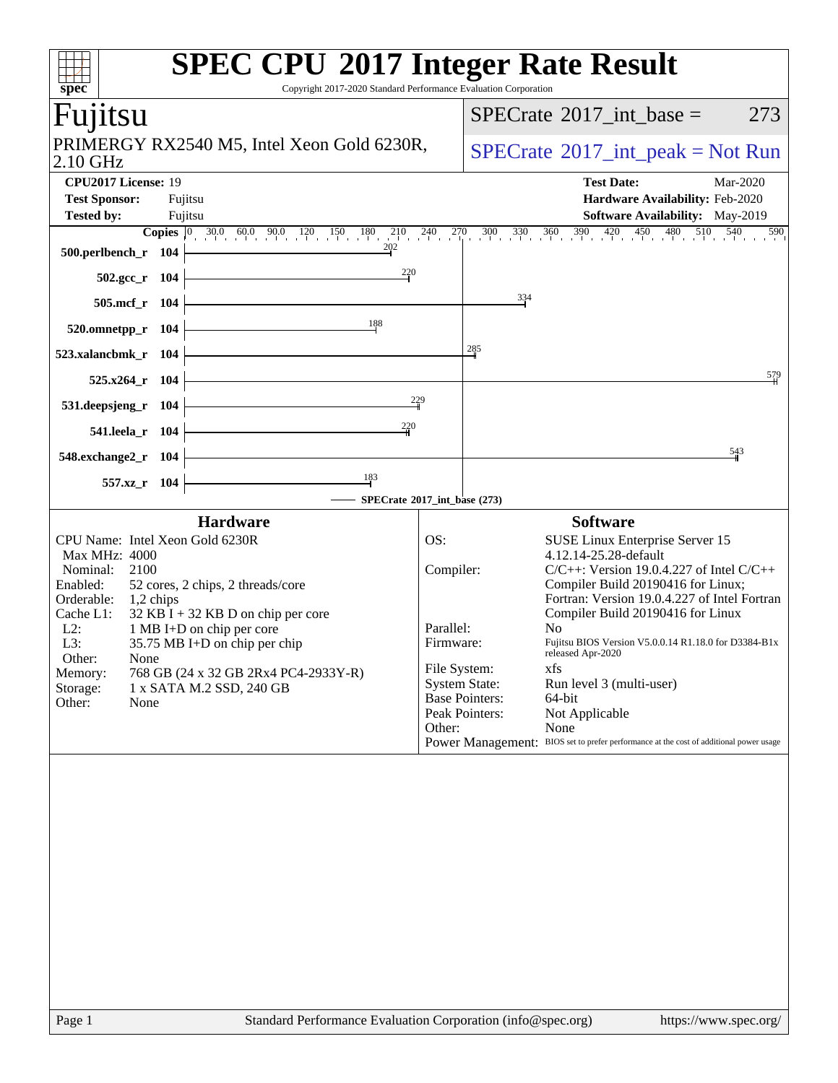| $spec^*$                                                                                                                                                       |                    | <b>SPEC CPU®2017 Integer Rate Result</b><br>Copyright 2017-2020 Standard Performance Evaluation Corporation                                                                                                 |                                                               |                                                                                             |                                                                                                                                                                                                                                                                                                                                                                                                                                     |
|----------------------------------------------------------------------------------------------------------------------------------------------------------------|--------------------|-------------------------------------------------------------------------------------------------------------------------------------------------------------------------------------------------------------|---------------------------------------------------------------|---------------------------------------------------------------------------------------------|-------------------------------------------------------------------------------------------------------------------------------------------------------------------------------------------------------------------------------------------------------------------------------------------------------------------------------------------------------------------------------------------------------------------------------------|
| Fujitsu                                                                                                                                                        |                    |                                                                                                                                                                                                             |                                                               |                                                                                             | $SPECTate$ <sup>®</sup> 2017_int_base =<br>273                                                                                                                                                                                                                                                                                                                                                                                      |
| 2.10 GHz                                                                                                                                                       |                    | PRIMERGY RX2540 M5, Intel Xeon Gold 6230R,                                                                                                                                                                  |                                                               | $SPECrate^{\circledast}2017\_int\_peak = Not Run$                                           |                                                                                                                                                                                                                                                                                                                                                                                                                                     |
| CPU2017 License: 19<br><b>Test Sponsor:</b><br><b>Tested by:</b>                                                                                               | Fujitsu<br>Fujitsu |                                                                                                                                                                                                             |                                                               |                                                                                             | <b>Test Date:</b><br>Mar-2020<br>Hardware Availability: Feb-2020<br>Software Availability: May-2019                                                                                                                                                                                                                                                                                                                                 |
| 500.perlbench_r 104<br>502.gcc_r 104                                                                                                                           |                    | <b>Copies</b> $\begin{bmatrix} 0 & 30.0 & 60.0 & 90.0 & 120 & 150 & 180 & 210 & 240 & 270 & 300 & 330 & 360 & 390 & 420 & 450 & 480 & 510 & 540 \end{bmatrix}$<br>202<br>$\frac{220}{4}$                    |                                                               |                                                                                             | 590                                                                                                                                                                                                                                                                                                                                                                                                                                 |
| 505.mcf_r 104                                                                                                                                                  |                    |                                                                                                                                                                                                             |                                                               | $\frac{334}{4}$                                                                             |                                                                                                                                                                                                                                                                                                                                                                                                                                     |
| 520.omnetpp_r 104                                                                                                                                              |                    | 188                                                                                                                                                                                                         |                                                               |                                                                                             |                                                                                                                                                                                                                                                                                                                                                                                                                                     |
| 523.xalancbmk_r 104                                                                                                                                            |                    |                                                                                                                                                                                                             |                                                               | 285                                                                                         |                                                                                                                                                                                                                                                                                                                                                                                                                                     |
| $525.x264$ r 104                                                                                                                                               |                    | $\frac{229}{1}$                                                                                                                                                                                             |                                                               |                                                                                             | 579                                                                                                                                                                                                                                                                                                                                                                                                                                 |
| 531.deepsjeng_r 104                                                                                                                                            |                    | $\frac{220}{5}$                                                                                                                                                                                             |                                                               |                                                                                             |                                                                                                                                                                                                                                                                                                                                                                                                                                     |
| 541.leela_r 104<br>548.exchange2_r 104                                                                                                                         |                    |                                                                                                                                                                                                             |                                                               |                                                                                             | 543                                                                                                                                                                                                                                                                                                                                                                                                                                 |
| 557.xz_r 104                                                                                                                                                   |                    | $\frac{183}{ }$                                                                                                                                                                                             |                                                               |                                                                                             |                                                                                                                                                                                                                                                                                                                                                                                                                                     |
|                                                                                                                                                                |                    | - SPECrate®2017_int_base (273)                                                                                                                                                                              |                                                               |                                                                                             |                                                                                                                                                                                                                                                                                                                                                                                                                                     |
| CPU Name: Intel Xeon Gold 6230R                                                                                                                                |                    | <b>Hardware</b>                                                                                                                                                                                             | OS:                                                           |                                                                                             | <b>Software</b><br><b>SUSE Linux Enterprise Server 15</b>                                                                                                                                                                                                                                                                                                                                                                           |
| Max MHz: 4000<br>Nominal:<br>2100<br>Enabled:<br>Orderable: 1,2 chips<br>Cache L1:<br>$L2$ :<br>L3:<br>Other:<br>None<br>Memory:<br>Storage:<br>Other:<br>None |                    | 52 cores, 2 chips, 2 threads/core<br>$32$ KB I + 32 KB D on chip per core<br>1 MB I+D on chip per core<br>35.75 MB I+D on chip per chip<br>768 GB (24 x 32 GB 2Rx4 PC4-2933Y-R)<br>1 x SATA M.2 SSD, 240 GB | Compiler:<br>Parallel:<br>Firmware:<br>File System:<br>Other: | <b>System State:</b><br><b>Base Pointers:</b><br>Peak Pointers:<br><b>Power Management:</b> | 4.12.14-25.28-default<br>$C/C++$ : Version 19.0.4.227 of Intel $C/C++$<br>Compiler Build 20190416 for Linux;<br>Fortran: Version 19.0.4.227 of Intel Fortran<br>Compiler Build 20190416 for Linux<br>No<br>Fujitsu BIOS Version V5.0.0.14 R1.18.0 for D3384-B1x<br>released Apr-2020<br>xfs<br>Run level 3 (multi-user)<br>64-bit<br>Not Applicable<br>None<br>BIOS set to prefer performance at the cost of additional power usage |
|                                                                                                                                                                |                    |                                                                                                                                                                                                             |                                                               |                                                                                             |                                                                                                                                                                                                                                                                                                                                                                                                                                     |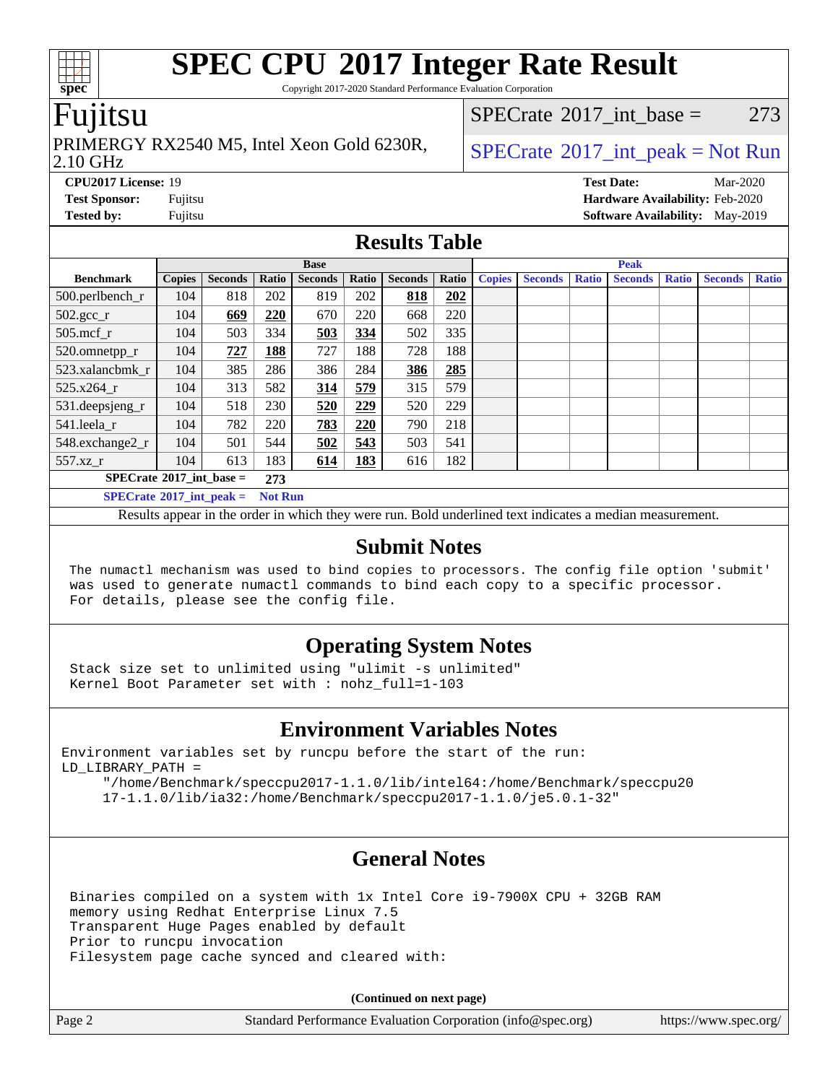Copyright 2017-2020 Standard Performance Evaluation Corporation

## Fujitsu

## PRIMERGY RX2540 M5, Intel Xeon Gold 6230R,  $\big|$  [SPECrate](http://www.spec.org/auto/cpu2017/Docs/result-fields.html#SPECrate2017intpeak) <sup>®</sup>[2017\\_int\\_peak = N](http://www.spec.org/auto/cpu2017/Docs/result-fields.html#SPECrate2017intpeak)ot Run

[SPECrate](http://www.spec.org/auto/cpu2017/Docs/result-fields.html#SPECrate2017intbase)<sup>®</sup>2017 int base = 273

#### 2.10 GHz

**[Tested by:](http://www.spec.org/auto/cpu2017/Docs/result-fields.html#Testedby)** Fujitsu **Fujitsu <b>[Software Availability:](http://www.spec.org/auto/cpu2017/Docs/result-fields.html#SoftwareAvailability)** May-2019

**[CPU2017 License:](http://www.spec.org/auto/cpu2017/Docs/result-fields.html#CPU2017License)** 19 **[Test Date:](http://www.spec.org/auto/cpu2017/Docs/result-fields.html#TestDate)** Mar-2020 **[Test Sponsor:](http://www.spec.org/auto/cpu2017/Docs/result-fields.html#TestSponsor)** Fujitsu **[Hardware Availability:](http://www.spec.org/auto/cpu2017/Docs/result-fields.html#HardwareAvailability)** Feb-2020

## **[Results Table](http://www.spec.org/auto/cpu2017/Docs/result-fields.html#ResultsTable)**

|                                                                                                                                                                                                                                                                                                  | <b>Base</b>   |                |       |                |       |                | <b>Peak</b> |               |                |              |                |              |                |              |
|--------------------------------------------------------------------------------------------------------------------------------------------------------------------------------------------------------------------------------------------------------------------------------------------------|---------------|----------------|-------|----------------|-------|----------------|-------------|---------------|----------------|--------------|----------------|--------------|----------------|--------------|
| <b>Benchmark</b>                                                                                                                                                                                                                                                                                 | <b>Copies</b> | <b>Seconds</b> | Ratio | <b>Seconds</b> | Ratio | <b>Seconds</b> | Ratio       | <b>Copies</b> | <b>Seconds</b> | <b>Ratio</b> | <b>Seconds</b> | <b>Ratio</b> | <b>Seconds</b> | <b>Ratio</b> |
| 500.perlbench_r                                                                                                                                                                                                                                                                                  | 104           | 818            | 202   | 819            | 202   | 818            | 202         |               |                |              |                |              |                |              |
| $502.\text{sec}$ <sub>r</sub>                                                                                                                                                                                                                                                                    | 104           | 669            | 220   | 670            | 220   | 668            | 220         |               |                |              |                |              |                |              |
| $505$ .mcf r                                                                                                                                                                                                                                                                                     | 104           | 503            | 334   | 503            | 334   | 502            | 335         |               |                |              |                |              |                |              |
| 520.omnetpp_r                                                                                                                                                                                                                                                                                    | 104           | 727            | 188   | 727            | 188   | 728            | 188         |               |                |              |                |              |                |              |
| 523.xalancbmk r                                                                                                                                                                                                                                                                                  | 104           | 385            | 286   | 386            | 284   | 386            | 285         |               |                |              |                |              |                |              |
| 525.x264 r                                                                                                                                                                                                                                                                                       | 104           | 313            | 582   | 314            | 579   | 315            | 579         |               |                |              |                |              |                |              |
| 531.deepsjeng_r                                                                                                                                                                                                                                                                                  | 104           | 518            | 230   | 520            | 229   | 520            | 229         |               |                |              |                |              |                |              |
| 541.leela r                                                                                                                                                                                                                                                                                      | 104           | 782            | 220   | 783            | 220   | 790            | 218         |               |                |              |                |              |                |              |
| 548.exchange2_r                                                                                                                                                                                                                                                                                  | 104           | 501            | 544   | 502            | 543   | 503            | 541         |               |                |              |                |              |                |              |
| 557.xz r                                                                                                                                                                                                                                                                                         | 104           | 613            | 183   | 614            | 183   | 616            | 182         |               |                |              |                |              |                |              |
| $SPECrate^{\circ}2017\_int\_base =$<br>273                                                                                                                                                                                                                                                       |               |                |       |                |       |                |             |               |                |              |                |              |                |              |
| $SPECrate^{\circ}2017$ int peak =<br><b>Not Run</b>                                                                                                                                                                                                                                              |               |                |       |                |       |                |             |               |                |              |                |              |                |              |
| $\mathbf{r}$ and $\mathbf{r}$ and $\mathbf{r}$ and $\mathbf{r}$ and $\mathbf{r}$ and $\mathbf{r}$ and $\mathbf{r}$ and $\mathbf{r}$ and $\mathbf{r}$ and $\mathbf{r}$ and $\mathbf{r}$ and $\mathbf{r}$ and $\mathbf{r}$ and $\mathbf{r}$ and $\mathbf{r}$ and $\mathbf{r}$ and $\mathbf{r}$ and |               |                |       |                |       |                |             |               |                |              |                |              |                |              |

Results appear in the [order in which they were run](http://www.spec.org/auto/cpu2017/Docs/result-fields.html#RunOrder). Bold underlined text [indicates a median measurement](http://www.spec.org/auto/cpu2017/Docs/result-fields.html#Median).

### **[Submit Notes](http://www.spec.org/auto/cpu2017/Docs/result-fields.html#SubmitNotes)**

 The numactl mechanism was used to bind copies to processors. The config file option 'submit' was used to generate numactl commands to bind each copy to a specific processor. For details, please see the config file.

## **[Operating System Notes](http://www.spec.org/auto/cpu2017/Docs/result-fields.html#OperatingSystemNotes)**

 Stack size set to unlimited using "ulimit -s unlimited" Kernel Boot Parameter set with : nohz\_full=1-103

## **[Environment Variables Notes](http://www.spec.org/auto/cpu2017/Docs/result-fields.html#EnvironmentVariablesNotes)**

Environment variables set by runcpu before the start of the run: LD\_LIBRARY\_PATH =

 "/home/Benchmark/speccpu2017-1.1.0/lib/intel64:/home/Benchmark/speccpu20 17-1.1.0/lib/ia32:/home/Benchmark/speccpu2017-1.1.0/je5.0.1-32"

## **[General Notes](http://www.spec.org/auto/cpu2017/Docs/result-fields.html#GeneralNotes)**

 Binaries compiled on a system with 1x Intel Core i9-7900X CPU + 32GB RAM memory using Redhat Enterprise Linux 7.5 Transparent Huge Pages enabled by default Prior to runcpu invocation Filesystem page cache synced and cleared with:

**(Continued on next page)**

|  | Standa |
|--|--------|
|  |        |

Page 2 Standard Performance Evaluation Corporation [\(info@spec.org\)](mailto:info@spec.org) <https://www.spec.org/>

**[spec](http://www.spec.org/)**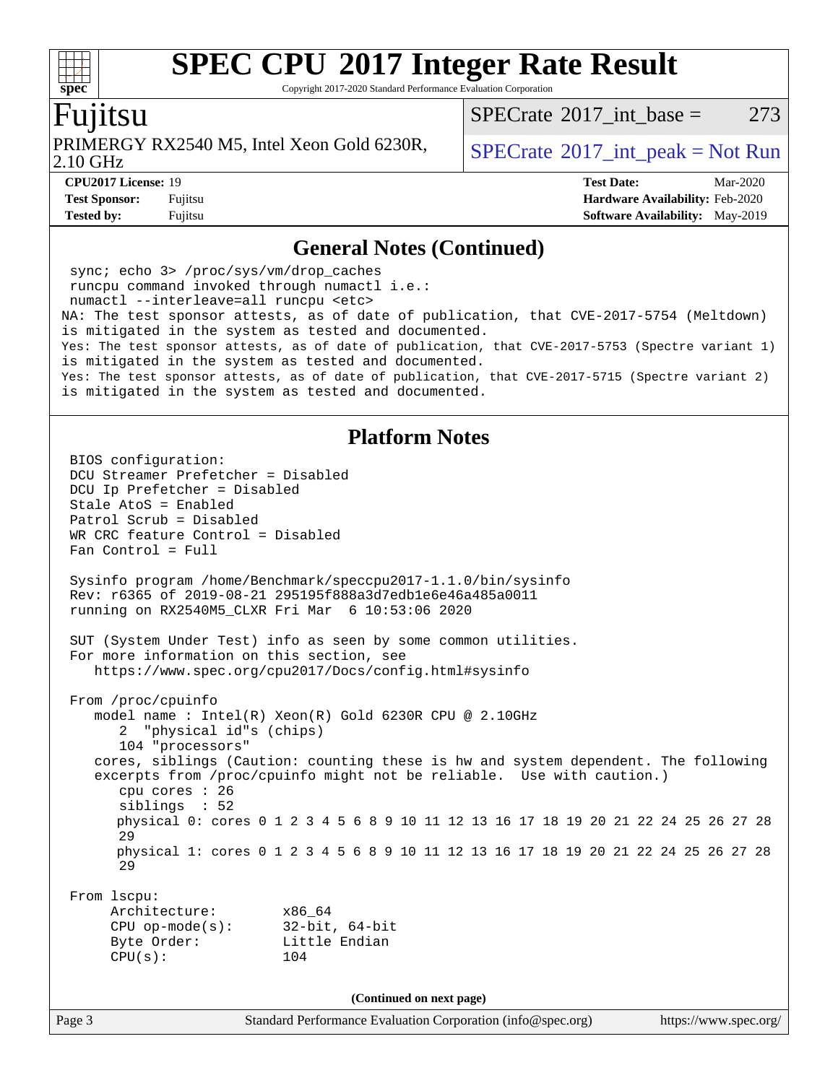Copyright 2017-2020 Standard Performance Evaluation Corporation

## Fujitsu

PRIMERGY RX2540 M5, Intel Xeon Gold 6230R,  $\big|$  [SPECrate](http://www.spec.org/auto/cpu2017/Docs/result-fields.html#SPECrate2017intpeak) <sup>®</sup>[2017\\_int\\_peak = N](http://www.spec.org/auto/cpu2017/Docs/result-fields.html#SPECrate2017intpeak)ot Run

[SPECrate](http://www.spec.org/auto/cpu2017/Docs/result-fields.html#SPECrate2017intbase)<sup>®</sup>2017 int base = 273

2.10 GHz

**[Tested by:](http://www.spec.org/auto/cpu2017/Docs/result-fields.html#Testedby)** Fujitsu **Fugital [Software Availability:](http://www.spec.org/auto/cpu2017/Docs/result-fields.html#SoftwareAvailability)** May-2019

**[CPU2017 License:](http://www.spec.org/auto/cpu2017/Docs/result-fields.html#CPU2017License)** 19 **[Test Date:](http://www.spec.org/auto/cpu2017/Docs/result-fields.html#TestDate)** Mar-2020 **[Test Sponsor:](http://www.spec.org/auto/cpu2017/Docs/result-fields.html#TestSponsor)** Fujitsu **[Hardware Availability:](http://www.spec.org/auto/cpu2017/Docs/result-fields.html#HardwareAvailability)** Feb-2020

### **[General Notes \(Continued\)](http://www.spec.org/auto/cpu2017/Docs/result-fields.html#GeneralNotes)**

 sync; echo 3> /proc/sys/vm/drop\_caches runcpu command invoked through numactl i.e.: numactl --interleave=all runcpu <etc> NA: The test sponsor attests, as of date of publication, that CVE-2017-5754 (Meltdown) is mitigated in the system as tested and documented. Yes: The test sponsor attests, as of date of publication, that CVE-2017-5753 (Spectre variant 1) is mitigated in the system as tested and documented. Yes: The test sponsor attests, as of date of publication, that CVE-2017-5715 (Spectre variant 2) is mitigated in the system as tested and documented.

### **[Platform Notes](http://www.spec.org/auto/cpu2017/Docs/result-fields.html#PlatformNotes)**

Page 3 Standard Performance Evaluation Corporation [\(info@spec.org\)](mailto:info@spec.org) <https://www.spec.org/> BIOS configuration: DCU Streamer Prefetcher = Disabled DCU Ip Prefetcher = Disabled Stale AtoS = Enabled Patrol Scrub = Disabled WR CRC feature Control = Disabled Fan Control = Full Sysinfo program /home/Benchmark/speccpu2017-1.1.0/bin/sysinfo Rev: r6365 of 2019-08-21 295195f888a3d7edb1e6e46a485a0011 running on RX2540M5\_CLXR Fri Mar 6 10:53:06 2020 SUT (System Under Test) info as seen by some common utilities. For more information on this section, see <https://www.spec.org/cpu2017/Docs/config.html#sysinfo> From /proc/cpuinfo model name : Intel(R) Xeon(R) Gold 6230R CPU @ 2.10GHz 2 "physical id"s (chips) 104 "processors" cores, siblings (Caution: counting these is hw and system dependent. The following excerpts from /proc/cpuinfo might not be reliable. Use with caution.) cpu cores : 26 siblings : 52 physical 0: cores 0 1 2 3 4 5 6 8 9 10 11 12 13 16 17 18 19 20 21 22 24 25 26 27 28 29 physical 1: cores 0 1 2 3 4 5 6 8 9 10 11 12 13 16 17 18 19 20 21 22 24 25 26 27 28 29 From lscpu: Architecture: x86\_64 CPU op-mode(s): 32-bit, 64-bit Byte Order: Little Endian CPU(s): 104 **(Continued on next page)**

 $+\ +$ **[spec](http://www.spec.org/)**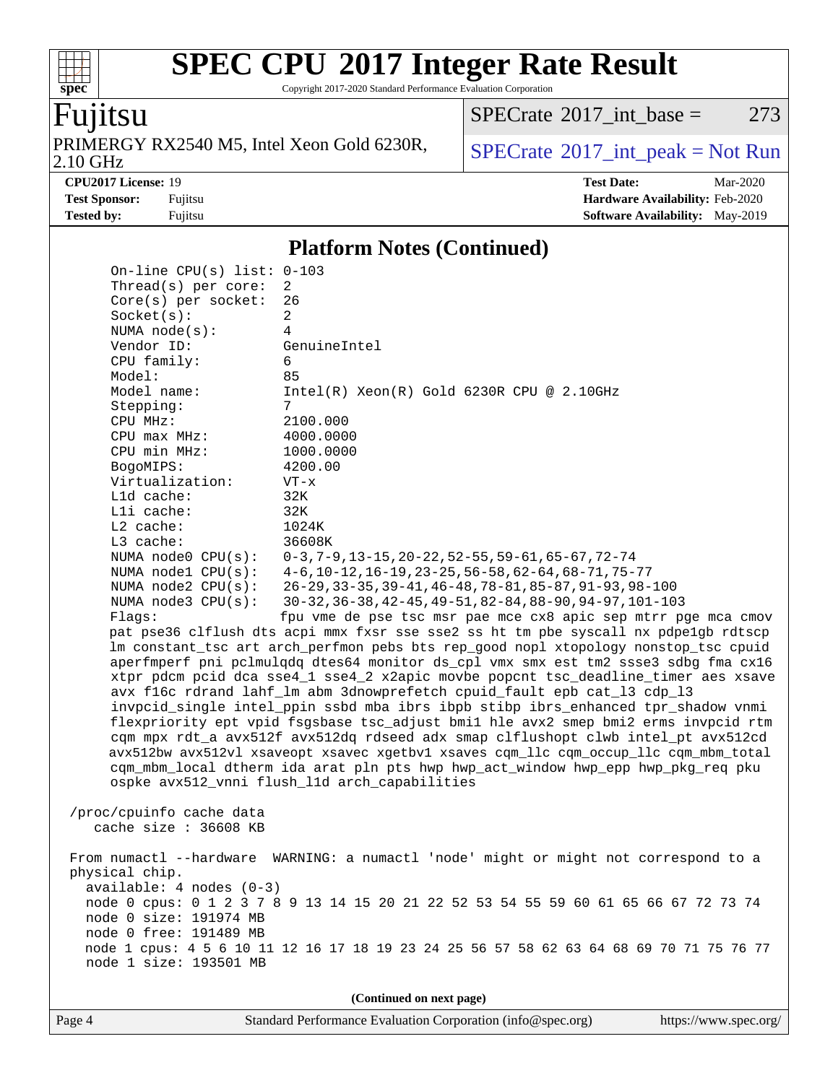Copyright 2017-2020 Standard Performance Evaluation Corporation

## Fujitsu

**[spec](http://www.spec.org/)**

 $+\ +$ 

2.10 GHz PRIMERGY RX2540 M5, Intel Xeon Gold 6230R,  $SPECrate^{\circ}2017\_int\_peak = Not Run$  $SPECrate^{\circ}2017\_int\_peak = Not Run$ 

 $SPECTate@2017_int\_base = 273$ 

**[CPU2017 License:](http://www.spec.org/auto/cpu2017/Docs/result-fields.html#CPU2017License)** 19 **[Test Date:](http://www.spec.org/auto/cpu2017/Docs/result-fields.html#TestDate)** Mar-2020 **[Test Sponsor:](http://www.spec.org/auto/cpu2017/Docs/result-fields.html#TestSponsor)** Fujitsu **[Hardware Availability:](http://www.spec.org/auto/cpu2017/Docs/result-fields.html#HardwareAvailability)** Feb-2020 **[Tested by:](http://www.spec.org/auto/cpu2017/Docs/result-fields.html#Testedby)** Fujitsu **Fugital Example 2019 [Software Availability:](http://www.spec.org/auto/cpu2017/Docs/result-fields.html#SoftwareAvailability)** May-2019

### **[Platform Notes \(Continued\)](http://www.spec.org/auto/cpu2017/Docs/result-fields.html#PlatformNotes)**

|                                                                                                                                                                                                                                                                                                                                                                                                      |                                                                                                                                                                                                                                                                                                                                                                                                  | (Continued on next page)                                                                                                                                                                                                                                                                                                                                                                                                                                                                                                                                                                                                                                                                                                                                                                                                                                                                                                                                                                                                                                                                                                                                                                                                                                                                                                                                                                                                                              |  |  |  |
|------------------------------------------------------------------------------------------------------------------------------------------------------------------------------------------------------------------------------------------------------------------------------------------------------------------------------------------------------------------------------------------------------|--------------------------------------------------------------------------------------------------------------------------------------------------------------------------------------------------------------------------------------------------------------------------------------------------------------------------------------------------------------------------------------------------|-------------------------------------------------------------------------------------------------------------------------------------------------------------------------------------------------------------------------------------------------------------------------------------------------------------------------------------------------------------------------------------------------------------------------------------------------------------------------------------------------------------------------------------------------------------------------------------------------------------------------------------------------------------------------------------------------------------------------------------------------------------------------------------------------------------------------------------------------------------------------------------------------------------------------------------------------------------------------------------------------------------------------------------------------------------------------------------------------------------------------------------------------------------------------------------------------------------------------------------------------------------------------------------------------------------------------------------------------------------------------------------------------------------------------------------------------------|--|--|--|
| From numactl --hardware WARNING: a numactl 'node' might or might not correspond to a<br>physical chip.<br>$available: 4 nodes (0-3)$<br>node 0 cpus: 0 1 2 3 7 8 9 13 14 15 20 21 22 52 53 54 55 59 60 61 65 66 67 72 73 74<br>node 0 size: 191974 MB<br>node 0 free: 191489 MB<br>node 1 cpus: 4 5 6 10 11 12 16 17 18 19 23 24 25 56 57 58 62 63 64 68 69 70 71 75 76 77<br>node 1 size: 193501 MB |                                                                                                                                                                                                                                                                                                                                                                                                  |                                                                                                                                                                                                                                                                                                                                                                                                                                                                                                                                                                                                                                                                                                                                                                                                                                                                                                                                                                                                                                                                                                                                                                                                                                                                                                                                                                                                                                                       |  |  |  |
|                                                                                                                                                                                                                                                                                                                                                                                                      | /proc/cpuinfo cache data<br>cache size : 36608 KB                                                                                                                                                                                                                                                                                                                                                |                                                                                                                                                                                                                                                                                                                                                                                                                                                                                                                                                                                                                                                                                                                                                                                                                                                                                                                                                                                                                                                                                                                                                                                                                                                                                                                                                                                                                                                       |  |  |  |
|                                                                                                                                                                                                                                                                                                                                                                                                      | Thread(s) per core:<br>$Core(s)$ per socket:<br>Socket(s):<br>NUMA node(s):<br>Vendor ID:<br>CPU family:<br>Model:<br>Model name:<br>Stepping:<br>CPU MHz:<br>CPU max MHz:<br>CPU min MHz:<br>BogoMIPS:<br>Virtualization:<br>L1d cache:<br>Lli cache:<br>$L2$ cache:<br>L3 cache:<br>NUMA node0 CPU(s):<br>NUMA $node1$ $CPU(s):$<br>NUMA $node2$ $CPU(s):$<br>NUMA $node3$ $CPU(s):$<br>Flaqs: | 2<br>26<br>2<br>$\overline{4}$<br>GenuineIntel<br>6<br>85<br>$Intel(R) Xeon(R) Gold 6230R CPU @ 2.10GHz$<br>7<br>2100.000<br>4000.0000<br>1000.0000<br>4200.00<br>$VT - x$<br>32K<br>32K<br>1024K<br>36608K<br>$0-3, 7-9, 13-15, 20-22, 52-55, 59-61, 65-67, 72-74$<br>$4-6$ , 10-12, 16-19, 23-25, 56-58, 62-64, 68-71, 75-77<br>26-29, 33-35, 39-41, 46-48, 78-81, 85-87, 91-93, 98-100<br>30-32, 36-38, 42-45, 49-51, 82-84, 88-90, 94-97, 101-103<br>fpu vme de pse tsc msr pae mce cx8 apic sep mtrr pge mca cmov<br>pat pse36 clflush dts acpi mmx fxsr sse sse2 ss ht tm pbe syscall nx pdpelgb rdtscp<br>lm constant_tsc art arch_perfmon pebs bts rep_good nopl xtopology nonstop_tsc cpuid<br>aperfmperf pni pclmulqdq dtes64 monitor ds_cpl vmx smx est tm2 ssse3 sdbg fma cx16<br>xtpr pdcm pcid dca sse4_1 sse4_2 x2apic movbe popcnt tsc_deadline_timer aes xsave<br>avx f16c rdrand lahf_lm abm 3dnowprefetch cpuid_fault epb cat_13 cdp_13<br>invpcid_single intel_ppin ssbd mba ibrs ibpb stibp ibrs_enhanced tpr_shadow vnmi<br>flexpriority ept vpid fsgsbase tsc_adjust bmil hle avx2 smep bmi2 erms invpcid rtm<br>cqm mpx rdt_a avx512f avx512dq rdseed adx smap clflushopt clwb intel_pt avx512cd<br>avx512bw avx512vl xsaveopt xsavec xgetbvl xsaves cqm_llc cqm_occup_llc cqm_mbm_total<br>cqm_mbm_local dtherm ida arat pln pts hwp hwp_act_window hwp_epp hwp_pkg_req pku<br>ospke avx512_vnni flush_l1d arch_capabilities |  |  |  |
|                                                                                                                                                                                                                                                                                                                                                                                                      | On-line CPU(s) list: $0-103$                                                                                                                                                                                                                                                                                                                                                                     |                                                                                                                                                                                                                                                                                                                                                                                                                                                                                                                                                                                                                                                                                                                                                                                                                                                                                                                                                                                                                                                                                                                                                                                                                                                                                                                                                                                                                                                       |  |  |  |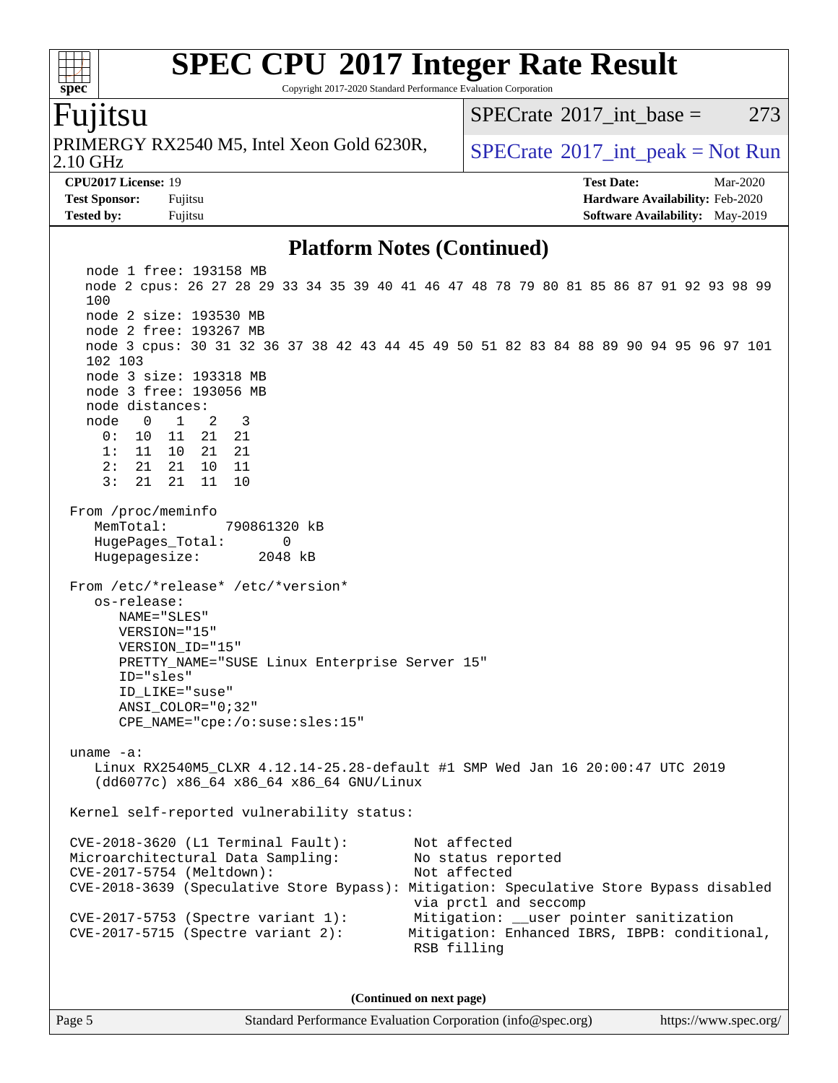Copyright 2017-2020 Standard Performance Evaluation Corporation

## Fujitsu

**[spec](http://www.spec.org/)**

 $+\ +$ 

2.10 GHz PRIMERGY RX2540 M5, Intel Xeon Gold 6230R,  $\big|$  [SPECrate](http://www.spec.org/auto/cpu2017/Docs/result-fields.html#SPECrate2017intpeak) <sup>®</sup>[2017\\_int\\_peak = N](http://www.spec.org/auto/cpu2017/Docs/result-fields.html#SPECrate2017intpeak)ot Run

[SPECrate](http://www.spec.org/auto/cpu2017/Docs/result-fields.html#SPECrate2017intbase)<sup>®</sup>2017 int base = 273

**[CPU2017 License:](http://www.spec.org/auto/cpu2017/Docs/result-fields.html#CPU2017License)** 19 **[Test Date:](http://www.spec.org/auto/cpu2017/Docs/result-fields.html#TestDate)** Mar-2020 **[Test Sponsor:](http://www.spec.org/auto/cpu2017/Docs/result-fields.html#TestSponsor)** Fujitsu **[Hardware Availability:](http://www.spec.org/auto/cpu2017/Docs/result-fields.html#HardwareAvailability)** Feb-2020 **[Tested by:](http://www.spec.org/auto/cpu2017/Docs/result-fields.html#Testedby)** Fujitsu **Fugital [Software Availability:](http://www.spec.org/auto/cpu2017/Docs/result-fields.html#SoftwareAvailability)** May-2019

### **[Platform Notes \(Continued\)](http://www.spec.org/auto/cpu2017/Docs/result-fields.html#PlatformNotes)**

 node 1 free: 193158 MB node 2 cpus: 26 27 28 29 33 34 35 39 40 41 46 47 48 78 79 80 81 85 86 87 91 92 93 98 99 100 node 2 size: 193530 MB node 2 free: 193267 MB node 3 cpus: 30 31 32 36 37 38 42 43 44 45 49 50 51 82 83 84 88 89 90 94 95 96 97 101 102 103 node 3 size: 193318 MB node 3 free: 193056 MB node distances: node 0 1 2 3 0: 10 11 21 21 1: 11 10 21 21 2: 21 21 10 11 3: 21 21 11 10 From /proc/meminfo MemTotal: 790861320 kB HugePages\_Total: 0 Hugepagesize: 2048 kB From /etc/\*release\* /etc/\*version\* os-release: NAME="SLES" VERSION="15" VERSION\_ID="15" PRETTY\_NAME="SUSE Linux Enterprise Server 15" ID="sles" ID\_LIKE="suse" ANSI\_COLOR="0;32" CPE\_NAME="cpe:/o:suse:sles:15" uname -a: Linux RX2540M5\_CLXR 4.12.14-25.28-default #1 SMP Wed Jan 16 20:00:47 UTC 2019 (dd6077c) x86\_64 x86\_64 x86\_64 GNU/Linux Kernel self-reported vulnerability status: CVE-2018-3620 (L1 Terminal Fault): Not affected Microarchitectural Data Sampling: No status reported CVE-2017-5754 (Meltdown): Not affected CVE-2018-3639 (Speculative Store Bypass): Mitigation: Speculative Store Bypass disabled via prctl and seccomp CVE-2017-5753 (Spectre variant 1): Mitigation: \_\_user pointer sanitization CVE-2017-5715 (Spectre variant 2): Mitigation: Enhanced IBRS, IBPB: conditional, RSB filling **(Continued on next page)**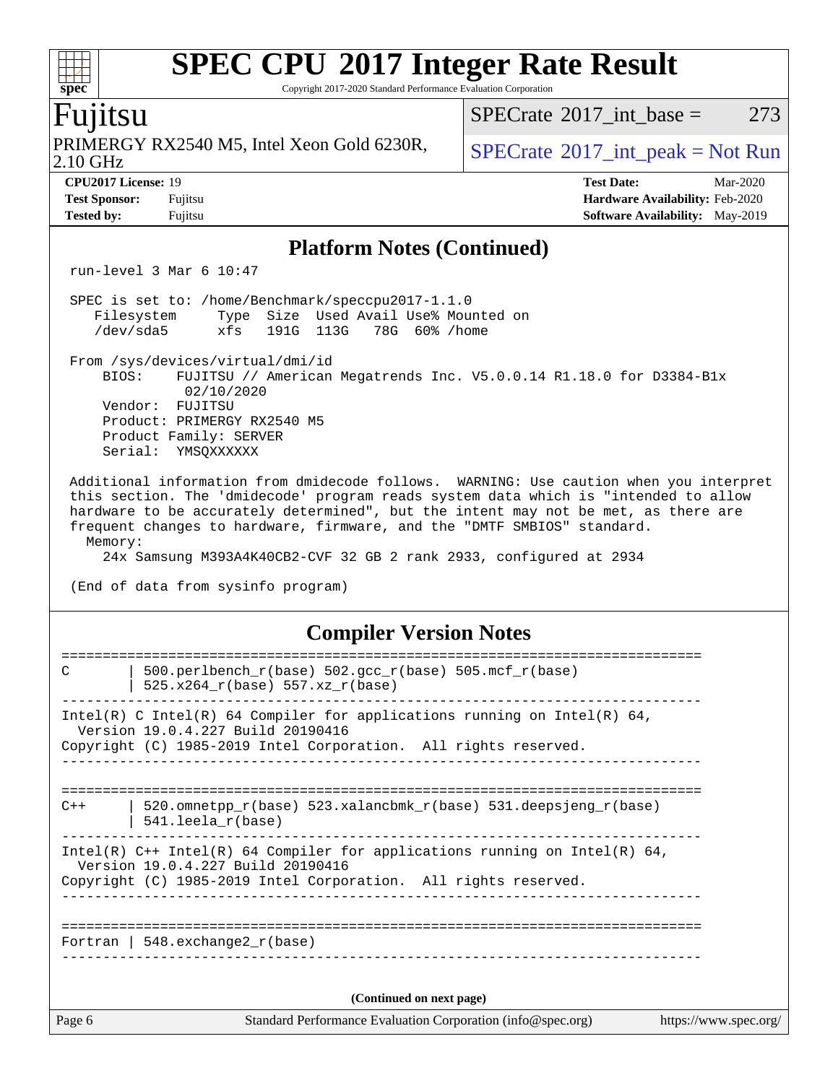Copyright 2017-2020 Standard Performance Evaluation Corporation

#### 2.10 GHz PRIMERGY RX2540 M5, Intel Xeon Gold 6230R,  $SPECrate^{\circ}2017\_int\_peak = Not Run$  $SPECrate^{\circ}2017\_int\_peak = Not Run$ **[CPU2017 License:](http://www.spec.org/auto/cpu2017/Docs/result-fields.html#CPU2017License)** 19 **[Test Date:](http://www.spec.org/auto/cpu2017/Docs/result-fields.html#TestDate)** Mar-2020 **[Test Sponsor:](http://www.spec.org/auto/cpu2017/Docs/result-fields.html#TestSponsor)** Fujitsu **[Hardware Availability:](http://www.spec.org/auto/cpu2017/Docs/result-fields.html#HardwareAvailability)** Feb-2020 **[Tested by:](http://www.spec.org/auto/cpu2017/Docs/result-fields.html#Testedby)** Fujitsu **Fujitsu <b>[Software Availability:](http://www.spec.org/auto/cpu2017/Docs/result-fields.html#SoftwareAvailability)** May-2019 **[Platform Notes \(Continued\)](http://www.spec.org/auto/cpu2017/Docs/result-fields.html#PlatformNotes)** run-level 3 Mar 6 10:47 SPEC is set to: /home/Benchmark/speccpu2017-1.1.0 Filesystem Type Size Used Avail Use% Mounted on /dev/sda5 xfs 191G 113G 78G 60% /home From /sys/devices/virtual/dmi/id BIOS: FUJITSU // American Megatrends Inc. V5.0.0.14 R1.18.0 for D3384-B1x 02/10/2020 Vendor: FUJITSU Product: PRIMERGY RX2540 M5 Product Family: SERVER Serial: YMSOXXXXXX Additional information from dmidecode follows. WARNING: Use caution when you interpret this section. The 'dmidecode' program reads system data which is "intended to allow hardware to be accurately determined", but the intent may not be met, as there are frequent changes to hardware, firmware, and the "DMTF SMBIOS" standard. Memory: 24x Samsung M393A4K40CB2-CVF 32 GB 2 rank 2933, configured at 2934 (End of data from sysinfo program) **[Compiler Version Notes](http://www.spec.org/auto/cpu2017/Docs/result-fields.html#CompilerVersionNotes)** ============================================================================== C | 500.perlbench\_r(base)  $502.\text{gcc_r}$ (base)  $505.\text{mcf_r}$ (base) | 525.x264\_r(base) 557.xz\_r(base) ------------------------------------------------------------------------------ Intel(R) C Intel(R) 64 Compiler for applications running on Intel(R) 64, Version 19.0.4.227 Build 20190416 Copyright (C) 1985-2019 Intel Corporation. All rights reserved. ------------------------------------------------------------------------------ ==============================================================================  $C++$  | 520.omnetpp\_r(base) 523.xalancbmk\_r(base) 531.deepsjeng\_r(base) | 541.leela\_r(base) ------------------------------------------------------------------------------ Intel(R)  $C++$  Intel(R) 64 Compiler for applications running on Intel(R) 64, Version 19.0.4.227 Build 20190416 Copyright (C) 1985-2019 Intel Corporation. All rights reserved. ------------------------------------------------------------------------------

============================================================================== Fortran | 548.exchange2\_r(base) ------------------------------------------------------------------------------

**(Continued on next page)**

| u<br>æ<br>Ш |  |  |  |  |  |  |
|-------------|--|--|--|--|--|--|

Fujitsu

## [SPECrate](http://www.spec.org/auto/cpu2017/Docs/result-fields.html#SPECrate2017intbase)<sup>®</sup>2017 int base = 273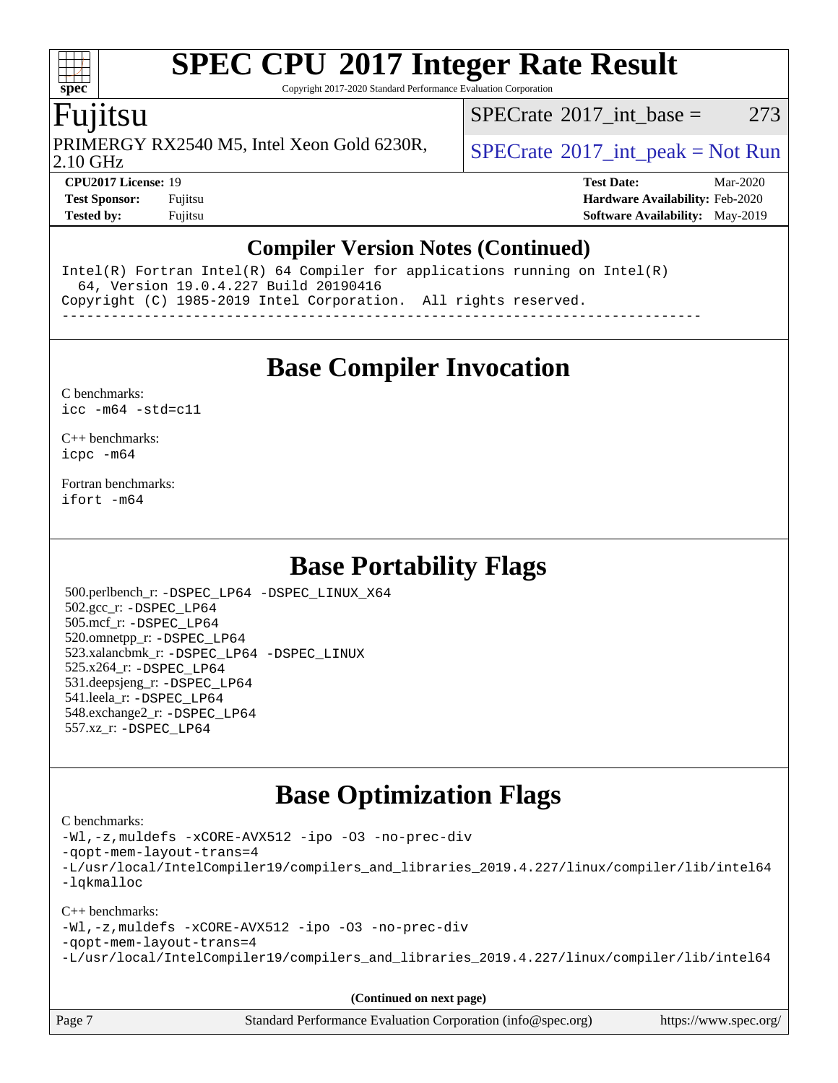Copyright 2017-2020 Standard Performance Evaluation Corporation

## Fujitsu

PRIMERGY RX2540 M5, Intel Xeon Gold 6230R,  $\big|$  [SPECrate](http://www.spec.org/auto/cpu2017/Docs/result-fields.html#SPECrate2017intpeak)®[2017\\_int\\_peak = N](http://www.spec.org/auto/cpu2017/Docs/result-fields.html#SPECrate2017intpeak)ot Run

[SPECrate](http://www.spec.org/auto/cpu2017/Docs/result-fields.html#SPECrate2017intbase)<sup>®</sup>2017 int base = 273

2.10 GHz

**[CPU2017 License:](http://www.spec.org/auto/cpu2017/Docs/result-fields.html#CPU2017License)** 19 **[Test Date:](http://www.spec.org/auto/cpu2017/Docs/result-fields.html#TestDate)** Mar-2020 **[Test Sponsor:](http://www.spec.org/auto/cpu2017/Docs/result-fields.html#TestSponsor)** Fujitsu **[Hardware Availability:](http://www.spec.org/auto/cpu2017/Docs/result-fields.html#HardwareAvailability)** Feb-2020 **[Tested by:](http://www.spec.org/auto/cpu2017/Docs/result-fields.html#Testedby)** Fujitsu **Fujitsu [Software Availability:](http://www.spec.org/auto/cpu2017/Docs/result-fields.html#SoftwareAvailability)** May-2019

## **[Compiler Version Notes \(Continued\)](http://www.spec.org/auto/cpu2017/Docs/result-fields.html#CompilerVersionNotes)**

Intel(R) Fortran Intel(R) 64 Compiler for applications running on Intel(R) 64, Version 19.0.4.227 Build 20190416 Copyright (C) 1985-2019 Intel Corporation. All rights reserved. ------------------------------------------------------------------------------

**[Base Compiler Invocation](http://www.spec.org/auto/cpu2017/Docs/result-fields.html#BaseCompilerInvocation)**

#### [C benchmarks](http://www.spec.org/auto/cpu2017/Docs/result-fields.html#Cbenchmarks): [icc -m64 -std=c11](http://www.spec.org/cpu2017/results/res2020q2/cpu2017-20200331-21899.flags.html#user_CCbase_intel_icc_64bit_c11_33ee0cdaae7deeeab2a9725423ba97205ce30f63b9926c2519791662299b76a0318f32ddfffdc46587804de3178b4f9328c46fa7c2b0cd779d7a61945c91cd35)

[C++ benchmarks:](http://www.spec.org/auto/cpu2017/Docs/result-fields.html#CXXbenchmarks) [icpc -m64](http://www.spec.org/cpu2017/results/res2020q2/cpu2017-20200331-21899.flags.html#user_CXXbase_intel_icpc_64bit_4ecb2543ae3f1412ef961e0650ca070fec7b7afdcd6ed48761b84423119d1bf6bdf5cad15b44d48e7256388bc77273b966e5eb805aefd121eb22e9299b2ec9d9)

[Fortran benchmarks](http://www.spec.org/auto/cpu2017/Docs/result-fields.html#Fortranbenchmarks): [ifort -m64](http://www.spec.org/cpu2017/results/res2020q2/cpu2017-20200331-21899.flags.html#user_FCbase_intel_ifort_64bit_24f2bb282fbaeffd6157abe4f878425411749daecae9a33200eee2bee2fe76f3b89351d69a8130dd5949958ce389cf37ff59a95e7a40d588e8d3a57e0c3fd751)

## **[Base Portability Flags](http://www.spec.org/auto/cpu2017/Docs/result-fields.html#BasePortabilityFlags)**

 500.perlbench\_r: [-DSPEC\\_LP64](http://www.spec.org/cpu2017/results/res2020q2/cpu2017-20200331-21899.flags.html#b500.perlbench_r_basePORTABILITY_DSPEC_LP64) [-DSPEC\\_LINUX\\_X64](http://www.spec.org/cpu2017/results/res2020q2/cpu2017-20200331-21899.flags.html#b500.perlbench_r_baseCPORTABILITY_DSPEC_LINUX_X64) 502.gcc\_r: [-DSPEC\\_LP64](http://www.spec.org/cpu2017/results/res2020q2/cpu2017-20200331-21899.flags.html#suite_basePORTABILITY502_gcc_r_DSPEC_LP64) 505.mcf\_r: [-DSPEC\\_LP64](http://www.spec.org/cpu2017/results/res2020q2/cpu2017-20200331-21899.flags.html#suite_basePORTABILITY505_mcf_r_DSPEC_LP64) 520.omnetpp\_r: [-DSPEC\\_LP64](http://www.spec.org/cpu2017/results/res2020q2/cpu2017-20200331-21899.flags.html#suite_basePORTABILITY520_omnetpp_r_DSPEC_LP64) 523.xalancbmk\_r: [-DSPEC\\_LP64](http://www.spec.org/cpu2017/results/res2020q2/cpu2017-20200331-21899.flags.html#suite_basePORTABILITY523_xalancbmk_r_DSPEC_LP64) [-DSPEC\\_LINUX](http://www.spec.org/cpu2017/results/res2020q2/cpu2017-20200331-21899.flags.html#b523.xalancbmk_r_baseCXXPORTABILITY_DSPEC_LINUX) 525.x264\_r: [-DSPEC\\_LP64](http://www.spec.org/cpu2017/results/res2020q2/cpu2017-20200331-21899.flags.html#suite_basePORTABILITY525_x264_r_DSPEC_LP64) 531.deepsjeng\_r: [-DSPEC\\_LP64](http://www.spec.org/cpu2017/results/res2020q2/cpu2017-20200331-21899.flags.html#suite_basePORTABILITY531_deepsjeng_r_DSPEC_LP64) 541.leela\_r: [-DSPEC\\_LP64](http://www.spec.org/cpu2017/results/res2020q2/cpu2017-20200331-21899.flags.html#suite_basePORTABILITY541_leela_r_DSPEC_LP64) 548.exchange2\_r: [-DSPEC\\_LP64](http://www.spec.org/cpu2017/results/res2020q2/cpu2017-20200331-21899.flags.html#suite_basePORTABILITY548_exchange2_r_DSPEC_LP64) 557.xz\_r: [-DSPEC\\_LP64](http://www.spec.org/cpu2017/results/res2020q2/cpu2017-20200331-21899.flags.html#suite_basePORTABILITY557_xz_r_DSPEC_LP64)

## **[Base Optimization Flags](http://www.spec.org/auto/cpu2017/Docs/result-fields.html#BaseOptimizationFlags)**

#### [C benchmarks](http://www.spec.org/auto/cpu2017/Docs/result-fields.html#Cbenchmarks):

[-Wl,-z,muldefs](http://www.spec.org/cpu2017/results/res2020q2/cpu2017-20200331-21899.flags.html#user_CCbase_link_force_multiple1_b4cbdb97b34bdee9ceefcfe54f4c8ea74255f0b02a4b23e853cdb0e18eb4525ac79b5a88067c842dd0ee6996c24547a27a4b99331201badda8798ef8a743f577) [-xCORE-AVX512](http://www.spec.org/cpu2017/results/res2020q2/cpu2017-20200331-21899.flags.html#user_CCbase_f-xCORE-AVX512) [-ipo](http://www.spec.org/cpu2017/results/res2020q2/cpu2017-20200331-21899.flags.html#user_CCbase_f-ipo) [-O3](http://www.spec.org/cpu2017/results/res2020q2/cpu2017-20200331-21899.flags.html#user_CCbase_f-O3) [-no-prec-div](http://www.spec.org/cpu2017/results/res2020q2/cpu2017-20200331-21899.flags.html#user_CCbase_f-no-prec-div) [-qopt-mem-layout-trans=4](http://www.spec.org/cpu2017/results/res2020q2/cpu2017-20200331-21899.flags.html#user_CCbase_f-qopt-mem-layout-trans_fa39e755916c150a61361b7846f310bcdf6f04e385ef281cadf3647acec3f0ae266d1a1d22d972a7087a248fd4e6ca390a3634700869573d231a252c784941a8) [-L/usr/local/IntelCompiler19/compilers\\_and\\_libraries\\_2019.4.227/linux/compiler/lib/intel64](http://www.spec.org/cpu2017/results/res2020q2/cpu2017-20200331-21899.flags.html#user_CCbase_qkmalloc_link_0ffe0cb02c68ef1b443a077c7888c10c67ca0d1dd7138472156f06a085bbad385f78d49618ad55dca9db3b1608e84afc2f69b4003b1d1ca498a9fc1462ccefda) [-lqkmalloc](http://www.spec.org/cpu2017/results/res2020q2/cpu2017-20200331-21899.flags.html#user_CCbase_qkmalloc_link_lib_79a818439969f771c6bc311cfd333c00fc099dad35c030f5aab9dda831713d2015205805422f83de8875488a2991c0a156aaa600e1f9138f8fc37004abc96dc5)

#### [C++ benchmarks](http://www.spec.org/auto/cpu2017/Docs/result-fields.html#CXXbenchmarks):

[-Wl,-z,muldefs](http://www.spec.org/cpu2017/results/res2020q2/cpu2017-20200331-21899.flags.html#user_CXXbase_link_force_multiple1_b4cbdb97b34bdee9ceefcfe54f4c8ea74255f0b02a4b23e853cdb0e18eb4525ac79b5a88067c842dd0ee6996c24547a27a4b99331201badda8798ef8a743f577) [-xCORE-AVX512](http://www.spec.org/cpu2017/results/res2020q2/cpu2017-20200331-21899.flags.html#user_CXXbase_f-xCORE-AVX512) [-ipo](http://www.spec.org/cpu2017/results/res2020q2/cpu2017-20200331-21899.flags.html#user_CXXbase_f-ipo) [-O3](http://www.spec.org/cpu2017/results/res2020q2/cpu2017-20200331-21899.flags.html#user_CXXbase_f-O3) [-no-prec-div](http://www.spec.org/cpu2017/results/res2020q2/cpu2017-20200331-21899.flags.html#user_CXXbase_f-no-prec-div) [-qopt-mem-layout-trans=4](http://www.spec.org/cpu2017/results/res2020q2/cpu2017-20200331-21899.flags.html#user_CXXbase_f-qopt-mem-layout-trans_fa39e755916c150a61361b7846f310bcdf6f04e385ef281cadf3647acec3f0ae266d1a1d22d972a7087a248fd4e6ca390a3634700869573d231a252c784941a8) [-L/usr/local/IntelCompiler19/compilers\\_and\\_libraries\\_2019.4.227/linux/compiler/lib/intel64](http://www.spec.org/cpu2017/results/res2020q2/cpu2017-20200331-21899.flags.html#user_CXXbase_qkmalloc_link_0ffe0cb02c68ef1b443a077c7888c10c67ca0d1dd7138472156f06a085bbad385f78d49618ad55dca9db3b1608e84afc2f69b4003b1d1ca498a9fc1462ccefda)

**(Continued on next page)**

|        | $\mathbf{y}$                                                |                       |
|--------|-------------------------------------------------------------|-----------------------|
| Page 7 | Standard Performance Evaluation Corporation (info@spec.org) | https://www.spec.org/ |

**[spec](http://www.spec.org/)**